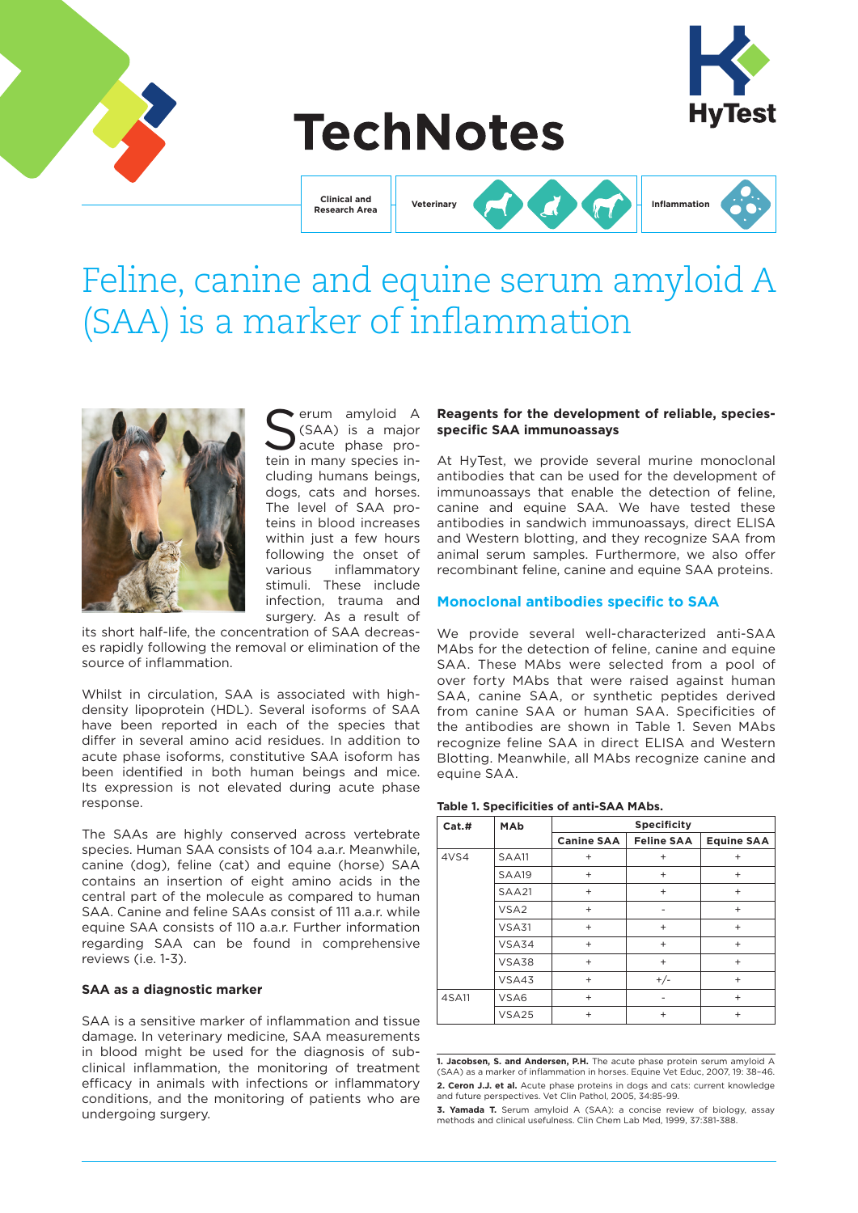

# **TechNotes**

**Clinical and Research Area**





# Feline, canine and equine serum amyloid A (SAA) is a marker of inflammation



Serum amyloid A<br>Sexual is a major<br>acute phase pro-(SAA) is a major acute phase protein in many species including humans beings, dogs, cats and horses. The level of SAA proteins in blood increases within just a few hours following the onset of various inflammatory stimuli. These include infection, trauma and surgery. As a result of

its short half-life, the concentration of SAA decreases rapidly following the removal or elimination of the source of inflammation.

Whilst in circulation, SAA is associated with highdensity lipoprotein (HDL). Several isoforms of SAA have been reported in each of the species that differ in several amino acid residues. In addition to acute phase isoforms, constitutive SAA isoform has been identified in both human beings and mice. Its expression is not elevated during acute phase response.

The SAAs are highly conserved across vertebrate species. Human SAA consists of 104 a.a.r. Meanwhile, canine (dog), feline (cat) and equine (horse) SAA contains an insertion of eight amino acids in the central part of the molecule as compared to human SAA. Canine and feline SAAs consist of 111 a.a.r. while equine SAA consists of 110 a.a.r. Further information regarding SAA can be found in comprehensive reviews (i.e. 1-3).

#### **SAA as a diagnostic marker**

SAA is a sensitive marker of inflammation and tissue damage. In veterinary medicine, SAA measurements in blood might be used for the diagnosis of subclinical inflammation, the monitoring of treatment efficacy in animals with infections or inflammatory conditions, and the monitoring of patients who are undergoing surgery.

### **Reagents for the development of reliable, speciesspecific SAA immunoassays**

At HyTest, we provide several murine monoclonal antibodies that can be used for the development of immunoassays that enable the detection of feline, canine and equine SAA. We have tested these antibodies in sandwich immunoassays, direct ELISA and Western blotting, and they recognize SAA from animal serum samples. Furthermore, we also offer recombinant feline, canine and equine SAA proteins.

# **Monoclonal antibodies specific to SAA**

We provide several well-characterized anti-SAA MAbs for the detection of feline, canine and equine SAA. These MAbs were selected from a pool of over forty MAbs that were raised against human SAA, canine SAA, or synthetic peptides derived from canine SAA or human SAA. Specificities of the antibodies are shown in Table 1. Seven MAbs recognize feline SAA in direct ELISA and Western Blotting. Meanwhile, all MAbs recognize canine and equine SAA.

#### **Table 1. Specificities of anti-SAA MAbs.**

| Cat.# | MAb              | <b>Specificity</b> |                   |                                  |  |
|-------|------------------|--------------------|-------------------|----------------------------------|--|
|       |                  | <b>Canine SAA</b>  | <b>Feline SAA</b> | <b>Equine SAA</b>                |  |
| 4VS4  | <b>SAA11</b>     | $\ddot{}$          | $\ddot{}$         | $\ddot{}$                        |  |
|       | SAA19            | $+$                | $\ddot{}$         | $\ddot{}$                        |  |
|       | <b>SAA21</b>     | $+$                | $+$               | $+$                              |  |
|       | VSA <sub>2</sub> | $+$                |                   | $+$                              |  |
|       | VSA31            | $+$                | $+$               | $+$                              |  |
|       | VSA34            | $+$                | $\ddot{}$         | $\ddot{}$                        |  |
|       | VSA38            | $+$                | $+$               | $+$                              |  |
|       | VSA43            | $\ddot{}$          | $+/-$             | $+$                              |  |
| 4SA11 | VSA6             | $+$                |                   | $\begin{array}{c} + \end{array}$ |  |
|       | VSA25            | $+$                | $\ddot{}$         | $^{+}$                           |  |

**1. Jacobsen, S. and Andersen, P.H.** The acute phase protein serum amyloid A (SAA) as a marker of inflammation in horses. Equine Vet Educ, 2007, 19: 38–46. **2. Ceron J.J. et al.** Acute phase proteins in dogs and cats: current knowledge and future perspectives. Vet Clin Pathol, 2005, 34:85-99.

**3. Yamada T.** Serum amyloid A (SAA): a concise review of biology, assay methods and clinical usefulness. Clin Chem Lab Med, 1999, 37:381-388.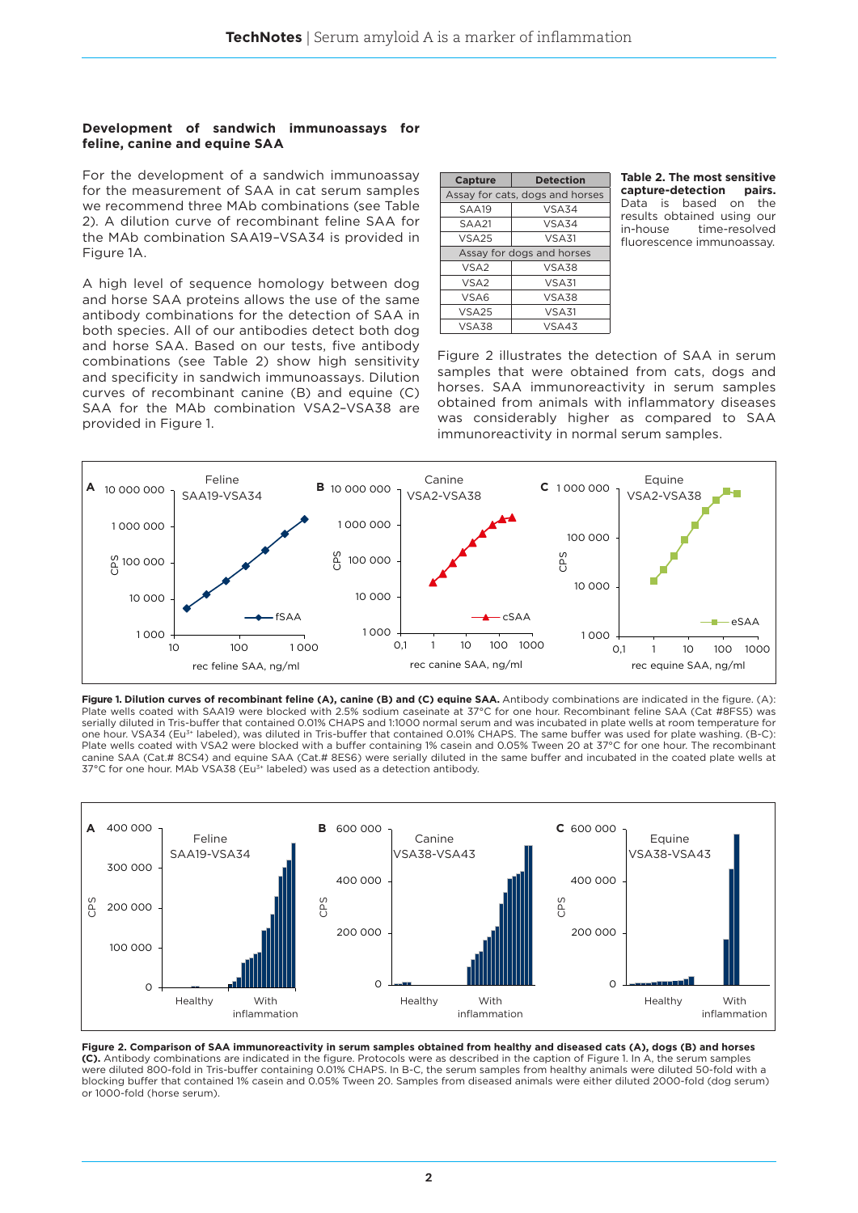### **Development of sandwich immunoassays for feline, canine and equine SAA**

For the development of a sandwich immunoassay for the measurement of SAA in cat serum samples we recommend three MAb combinations (see Table 2). A dilution curve of recombinant feline SAA for the MAb combination SAA19–VSA34 is provided in Figure 1A.

A high level of sequence homology between dog and horse SAA proteins allows the use of the same antibody combinations for the detection of SAA in both species. All of our antibodies detect both dog and horse SAA. Based on our tests, five antibody combinations (see Table 2) show high sensitivity and specificity in sandwich immunoassays. Dilution curves of recombinant canine (B) and equine (C) SAA for the MAb combination VSA2–VSA38 are provided in Figure 1.

| Capture          | <b>Detection</b>                |  |  |  |
|------------------|---------------------------------|--|--|--|
|                  | Assay for cats, dogs and horses |  |  |  |
| SAA19            | VSA34                           |  |  |  |
| SAA21            | VSA34                           |  |  |  |
| <b>VSA25</b>     | VSA31                           |  |  |  |
|                  | Assay for dogs and horses       |  |  |  |
| VSA <sub>2</sub> | VSA38                           |  |  |  |
| VSA <sub>2</sub> | VSA31                           |  |  |  |
| VSA6             | <b>VSA38</b>                    |  |  |  |
| <b>VSA25</b>     | VSA31                           |  |  |  |
| VSA38            | VSA43                           |  |  |  |

**Table 2. The most sensitive capture-detection pairs.**  Data is based on the results obtained using our<br>in-house time-resolved time-resolved fluorescence immunoassay.

Figure 2 illustrates the detection of SAA in serum samples that were obtained from cats, dogs and horses. SAA immunoreactivity in serum samples obtained from animals with inflammatory diseases was considerably higher as compared to SAA immunoreactivity in normal serum samples.



Figure 1. Dilution curves of recombinant feline (A), canine (B) and (C) equine SAA. Antibody combinations are indicated in the figure. (A): Plate wells coated with SAA19 were blocked with 2.5% sodium caseinate at 37°C for one hour. Recombinant feline SAA (Cat #8FS5) was serially diluted in Tris-buffer that contained 0.01% CHAPS and 1:1000 normal serum and was incubated in plate wells at room temperature for one hour. VSA34 (Eu<sup>3+</sup> labeled), was diluted in Tris-buffer that contained 0.01% CHAPS. The same buffer was used for plate washing. (B-C): Plate wells coated with VSA2 were blocked with a buffer containing 1% casein and 0.05% Tween 20 at 37°C for one hour. The recombinant canine SAA (Cat.# 8CS4) and equine SAA (Cat.# 8ES6) were serially diluted in the same buffer and incubated in the coated plate wells at 37°C for one hour. MAb VSA38 (Eu3+ labeled) was used as a detection antibody.



**Figure 2. Comparison of SAA immunoreactivity in serum samples obtained from healthy and diseased cats (A), dogs (B) and horses (C).** Antibody combinations are indicated in the figure. Protocols were as described in the caption of Figure 1. In A, the serum samples were diluted 800-fold in Tris-buffer containing 0.01% CHAPS. In B-C, the serum samples from healthy animals were diluted 50-fold with a blocking buffer that contained 1% casein and 0.05% Tween 20. Samples from diseased animals were either diluted 2000-fold (dog serum) or 1000-fold (horse serum).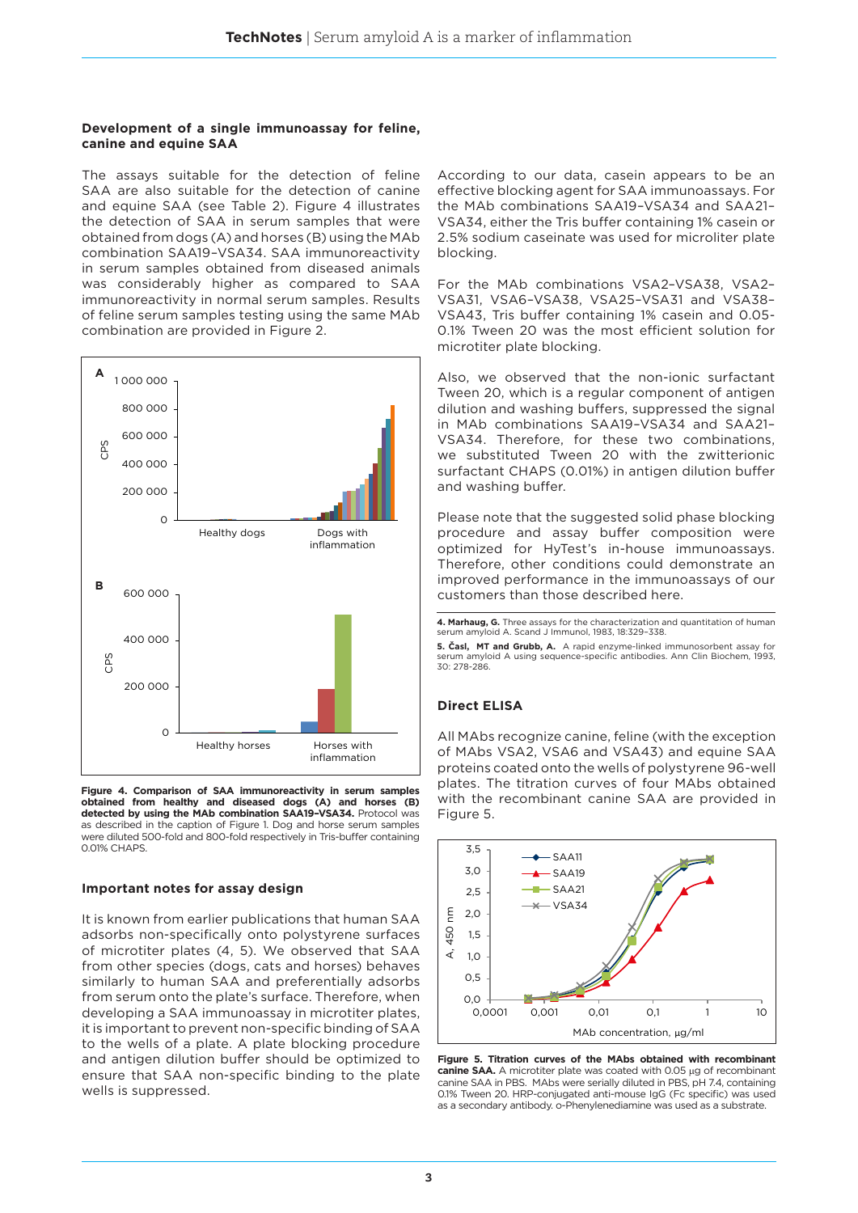#### **Development of a single immunoassay for feline, canine and equine SAA**

The assays suitable for the detection of feline SAA are also suitable for the detection of canine and equine SAA (see Table 2). Figure 4 illustrates the detection of SAA in serum samples that were obtained from dogs (A) and horses (B) using the MAb combination SAA19–VSA34. SAA immunoreactivity in serum samples obtained from diseased animals was considerably higher as compared to SAA immunoreactivity in normal serum samples. Results of feline serum samples testing using the same MAb combination are provided in Figure 2.



**Figure 4. Comparison of SAA immunoreactivity in serum samples obtained from healthy and diseased dogs (A) and horses (B) detected by using the MAb combination SAA19–VSA34.** Protocol was as described in the caption of Figure 1. Dog and horse serum samples were diluted 500-fold and 800-fold respectively in Tris-buffer containing 0.01% CHAPS.

#### **Important notes for assay design**

It is known from earlier publications that human SAA adsorbs non-specifically onto polystyrene surfaces of microtiter plates (4, 5). We observed that SAA from other species (dogs, cats and horses) behaves similarly to human SAA and preferentially adsorbs from serum onto the plate's surface. Therefore, when developing a SAA immunoassay in microtiter plates, it is important to prevent non-specific binding of SAA to the wells of a plate. A plate blocking procedure and antigen dilution buffer should be optimized to ensure that SAA non-specific binding to the plate wells is suppressed.

According to our data, casein appears to be an effective blocking agent for SAA immunoassays. For the MAb combinations SAA19–VSA34 and SAA21– VSA34, either the Tris buffer containing 1% casein or 2.5% sodium caseinate was used for microliter plate blocking.

For the MAb combinations VSA2–VSA38, VSA2– VSA31, VSA6–VSA38, VSA25–VSA31 and VSA38– VSA43, Tris buffer containing 1% casein and 0.05- 0.1% Tween 20 was the most efficient solution for microtiter plate blocking.

Also, we observed that the non-ionic surfactant Tween 20, which is a regular component of antigen dilution and washing buffers, suppressed the signal in MAb combinations SAA19–VSA34 and SAA21– VSA34. Therefore, for these two combinations, we substituted Tween 20 with the zwitterionic surfactant CHAPS (0.01%) in antigen dilution buffer and washing buffer.

Please note that the suggested solid phase blocking procedure and assay buffer composition were optimized for HyTest's in-house immunoassays. Therefore, other conditions could demonstrate an improved performance in the immunoassays of our customers than those described here.

**4. Marhaug, G.** Three assays for the characterization and quantitation of human serum amyloid A. Scand J Immunol, 1983, 18:329–338.

**5. Časl, MT and Grubb, A.** A rapid enzyme-linked immunosorbent assay for serum amyloid A using sequence-specific antibodies. Ann Clin Biochem, 1993, 30: 278-286.

# **Direct ELISA**

All MAbs recognize canine, feline (with the exception of MAbs VSA2, VSA6 and VSA43) and equine SAA proteins coated onto the wells of polystyrene 96-well plates. The titration curves of four MAbs obtained with the recombinant canine SAA are provided in Figure 5.



**Figure 5. Titration curves of the MAbs obtained with recombinant canine SAA.** A microtiter plate was coated with 0.05 µg of recombinant canine SAA in PBS. MAbs were serially diluted in PBS, pH 7.4, containing 0.1% Tween 20. HRP-conjugated anti-mouse IgG (Fc specific) was used as a secondary antibody. o-Phenylenediamine was used as a substrate.